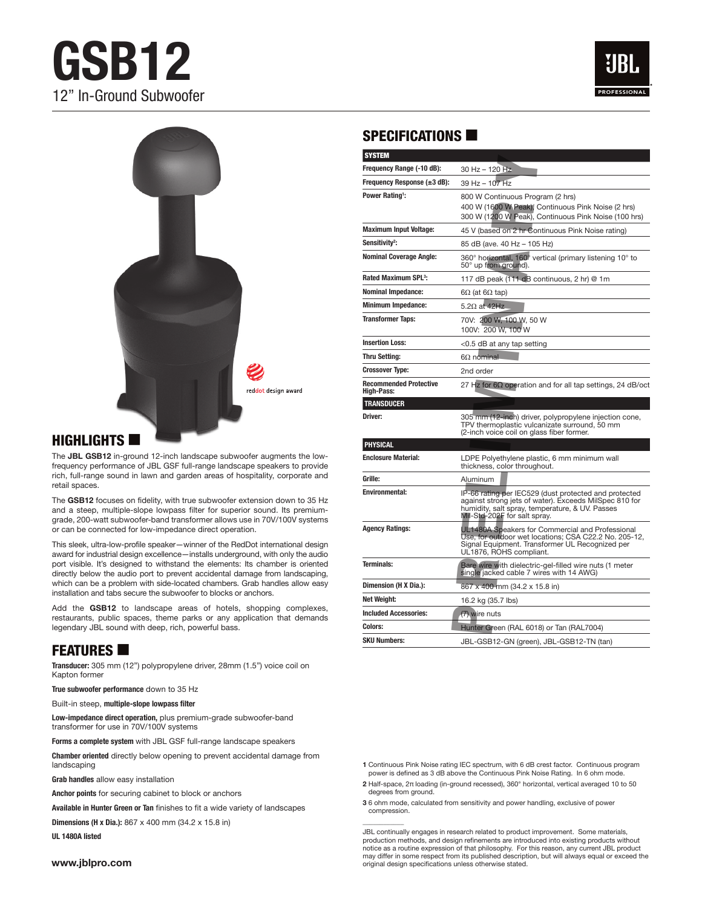# **GSB12** 12" In-Ground Subwoofer





#### $H$ IGHLIGHTS  $\blacksquare$

The **JBL GSB12** in-ground 12-inch landscape subwoofer augments the lowfrequency performance of JBL GSF full-range landscape speakers to provide rich, full-range sound in lawn and garden areas of hospitality, corporate and retail spaces.

The **GSB12** focuses on fidelity, with true subwoofer extension down to 35 Hz and a steep, multiple-slope lowpass filter for superior sound. Its premiumgrade, 200-watt subwoofer-band transformer allows use in 70V/100V systems or can be connected for low-impedance direct operation.

This sleek, ultra-low-profile speaker—winner of the RedDot international design award for industrial design excellence—installs underground, with only the audio port visible. It's designed to withstand the elements: Its chamber is oriented directly below the audio port to prevent accidental damage from landscaping, which can be a problem with side-located chambers. Grab handles allow easy installation and tabs secure the subwoofer to blocks or anchors.

Add the **GSB12** to landscape areas of hotels, shopping complexes, restaurants, public spaces, theme parks or any application that demands legendary JBL sound with deep, rich, powerful bass.

# **FEATURES**

**Transducer:** 305 mm (12") polypropylene driver, 28mm (1.5") voice coil on Kapton former

**True subwoofer performance** down to 35 Hz

Built-in steep, **multiple-slope lowpass filter**

**Low-impedance direct operation,** plus premium-grade subwoofer-band transformer for use in 70V/100V systems

**Forms a complete system** with JBL GSF full-range landscape speakers

**Chamber oriented** directly below opening to prevent accidental damage from landscaping

**Grab handles** allow easy installation

**Anchor points** for securing cabinet to block or anchors

**Available in Hunter Green or Tan** finishes to fit a wide variety of landscapes

**Dimensions (H x Dia.):** 867 x 400 mm (34.2 x 15.8 in)

**UL 1480A listed**

#### **www.jblpro.com**

### SPECIFICATIONS  $\blacksquare$

| <b>SYSTEM</b>                                      |                                                                                                                                                                                                    |
|----------------------------------------------------|----------------------------------------------------------------------------------------------------------------------------------------------------------------------------------------------------|
| Frequency Range (-10 dB):                          | 30 Hz - 120 Hz                                                                                                                                                                                     |
| Frequency Response $(\pm 3$ dB):                   | 39 Hz - 107 Hz                                                                                                                                                                                     |
| Power Rating <sup>1</sup> :                        | 800 W Continuous Program (2 hrs)<br>400 W (1600 W Peak), Continuous Pink Noise (2 hrs)<br>300 W (1200 W Peak), Continuous Pink Noise (100 hrs)                                                     |
| <b>Maximum Input Voltage:</b>                      | 45 V (based on 2 hr Continuous Pink Noise rating)                                                                                                                                                  |
| Sensitivity <sup>2</sup> :                         | 85 dB (ave. 40 Hz - 105 Hz)                                                                                                                                                                        |
| <b>Nominal Coverage Angle:</b>                     | 360° horizontal, 160° vertical (primary listening 10° to<br>50° up from ground).                                                                                                                   |
| Rated Maximum SPL <sup>3</sup> :                   | 117 dB peak (111 dB continuous, 2 hr) @ 1m                                                                                                                                                         |
| <b>Nominal Impedance:</b>                          | 6 $\Omega$ (at 6 $\Omega$ tap)                                                                                                                                                                     |
| <b>Minimum Impedance:</b>                          | 5.2 $\Omega$ at 42Hz                                                                                                                                                                               |
| <b>Transformer Taps:</b>                           | 70V: 200 W, 100 W, 50 W<br>100V: 200 W, 100 W                                                                                                                                                      |
| <b>Insertion Loss:</b>                             | <0.5 dB at any tap setting                                                                                                                                                                         |
| <b>Thru Setting:</b>                               | 6 $\Omega$ nominal                                                                                                                                                                                 |
| <b>Crossover Type:</b>                             | 2nd order                                                                                                                                                                                          |
| <b>Recommended Protective</b><br><b>High-Pass:</b> | 27 Hz for $6\Omega$ operation and for all tap settings, 24 dB/oct                                                                                                                                  |
| <b>TRANSDUCER</b>                                  |                                                                                                                                                                                                    |
| Driver:                                            | 305 mm (12-inch) driver, polypropylene injection cone,<br>TPV thermoplastic vulcanizate surround, 50 mm<br>(2-inch voice coil on glass fiber former.                                               |
| PHYSICAL                                           |                                                                                                                                                                                                    |
| <b>Enclosure Material:</b>                         | LDPE Polyethylene plastic, 6 mm minimum wall<br>thickness, color throughout.                                                                                                                       |
| Grille:                                            | Aluminum                                                                                                                                                                                           |
| <b>Environmental:</b>                              | IP-66 rating per IEC529 (dust protected and protected<br>against strong jets of water). Exceeds MilSpec 810 for<br>humidity, salt spray, temperature, & UV. Passes<br>Mil-Std-202F for salt spray. |
| <b>Agency Ratings:</b>                             | UL1480A Speakers for Commercial and Professional<br>Use, for outdoor wet locations; CSA C22.2 No. 205-12,<br>Signal Equipment. Transformer UL Recognized per<br>UL1876, ROHS compliant.            |
| <b>Terminals:</b>                                  | Bare wire with dielectric-gel-filled wire nuts (1 meter<br>single jacked cable 7 wires with 14 AWG)                                                                                                |
| Dimension (H X Dia.):                              | 867 x 400 mm (34.2 x 15.8 in)                                                                                                                                                                      |
| Net Weight:                                        | 16.2 kg (35.7 lbs)                                                                                                                                                                                 |
| <b>Included Accessories:</b>                       | (7) wire nuts                                                                                                                                                                                      |
| <b>Colors:</b>                                     | Hunter Green (RAL 6018) or Tan (RAL7004)                                                                                                                                                           |
| <b>SKU Numbers:</b>                                | JBL-GSB12-GN (green), JBL-GSB12-TN (tan)                                                                                                                                                           |

**1** Continuous Pink Noise rating IEC spectrum, with 6 dB crest factor. Continuous program power is defined as 3 dB above the Continuous Pink Noise Rating. In 6 ohm mode.

**2** Half-space, 2π loading (in-ground recessed), 360° horizontal, vertical averaged 10 to 50 degrees from ground.

**3** 6 ohm mode, calculated from sensitivity and power handling, exclusive of power compression.

 $\overline{\phantom{a}}$ 

JBL continually engages in research related to product improvement. Some materials, production methods, and design refinements are introduced into existing products without notice as a routine expression of that philosophy. For this reason, any current JBL product may differ in some respect from its published description, but will always equal or exceed the original design specifications unless otherwise stated.